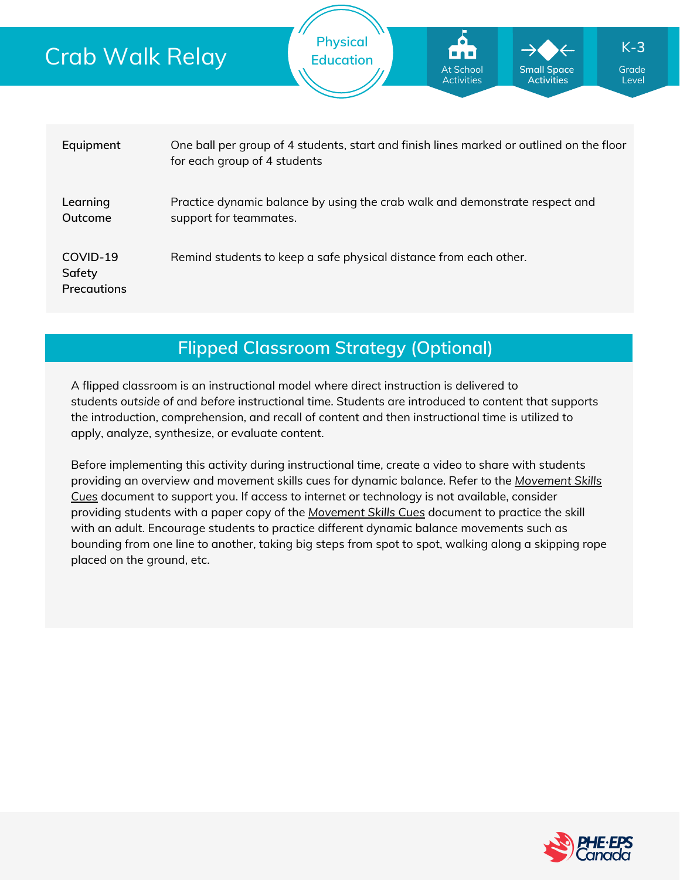## Crab Walk Relay



## **Flipped Classroom Strategy (Optional)**

A flipped classroom is an instructional model where direct instruction is delivered to students *outside of* and *before* instructional time. Students are introduced to content that supports the introduction, comprehension, and recall of content and then instructional time is utilized to apply, analyze, synthesize, or evaluate content.

Before implementing this activity during instructional time, create a video to share with students providing an overview and movement skills cues for dynamic balance. Refer to the *Movement Skills Cues* document to support you. If access to internet or [technology](https://phecanada.ca/sites/default/files/content/docs/Home%20Learning%20Resource/Movement%20Cues/Movement%20Skills%20Cues%201.pdf) is not available, consider providing students with a paper copy of the *[Movement](https://phecanada.ca/sites/default/files/content/docs/Home%20Learning%20Resource/Movement%20Cues/Movement%20Skills%20Cues%201.pdf) Skills Cues* document to practice the skill with an adult. Encourage students to practice different dynamic balance movements such as bounding from one line to another, taking big steps from spot to spot, walking along a skipping rope placed on the ground, etc.

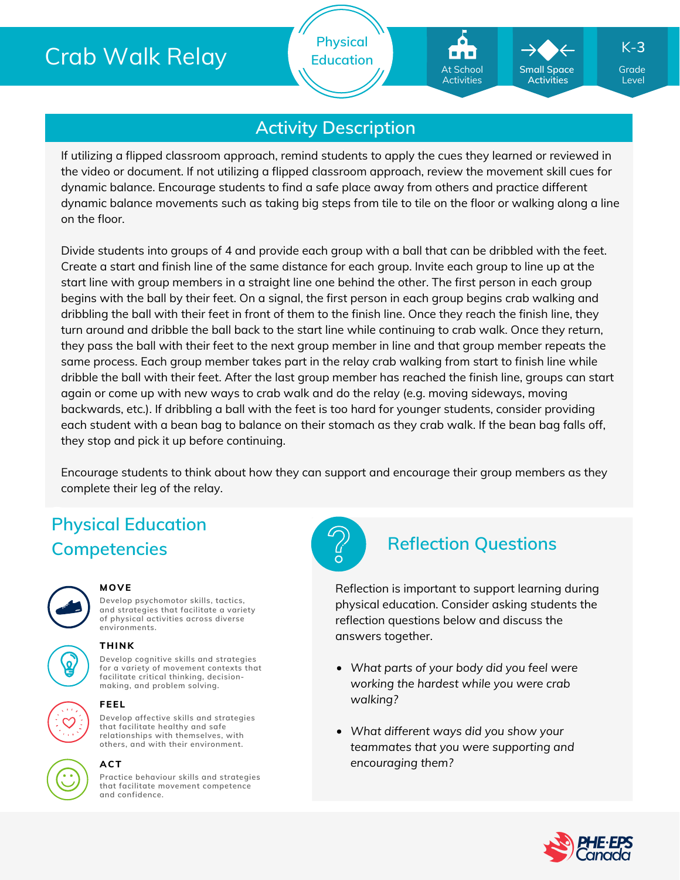# Crab Walk Relay

**Physical Education**

## **Activity Description**

If utilizing a flipped classroom approach, remind students to apply the cues they learned or reviewed in the video or document. If not utilizing a flipped classroom approach, review the movement skill cues for dynamic balance. Encourage students to find a safe place away from others and practice different dynamic balance movements such as taking big steps from tile to tile on the floor or walking along a line on the floor.

Divide students into groups of 4 and provide each group with a ball that can be dribbled with the feet. Create a start and finish line of the same distance for each group. Invite each group to line up at the start line with group members in a straight line one behind the other. The first person in each group begins with the ball by their feet. On a signal, the first person in each group begins crab walking and dribbling the ball with their feet in front of them to the finish line. Once they reach the finish line, they turn around and dribble the ball back to the start line while continuing to crab walk. Once they return, they pass the ball with their feet to the next group member in line and that group member repeats the same process. Each group member takes part in the relay crab walking from start to finish line while dribble the ball with their feet. After the last group member has reached the finish line, groups can start again or come up with new ways to crab walk and do the relay (e.g. moving sideways, moving backwards, etc.). If dribbling a ball with the feet is too hard for younger students, consider providing each student with a bean bag to balance on their stomach as they crab walk. If the bean bag falls off, they stop and pick it up before continuing.

Encourage students to think about how they can support and encourage their group members as they complete their leg of the relay.

# **Physical Education Competencies Reflection Questions**



### **MOVE**

**Develop psychomotor skills, tactics, and strategies that facilitate a variety of physical activities across diverse environments.**

**Develop cognitive skills and strategies for a variety of movement contexts that facilitate critical thinking, decision making, and problem solving. THINK**



### **FEEL**

**Develop affective skills and strategies that facilitate healthy and safe relationships with themselves, with others, and with their environment.**



### **ACT**

**Practice behaviour skills and strategies that facilitate movement competence and confidence.**



Reflection is important to support learning during physical education. Consider asking students the reflection questions below and discuss the answers together.

- *What parts of your body did you feel were working the hardest while you were crab walking?*
- *What different ways did you show your teammates that you were supporting and encouraging them?*



Grade Level

K-**3**

**Small Space Activities**

At School Activities